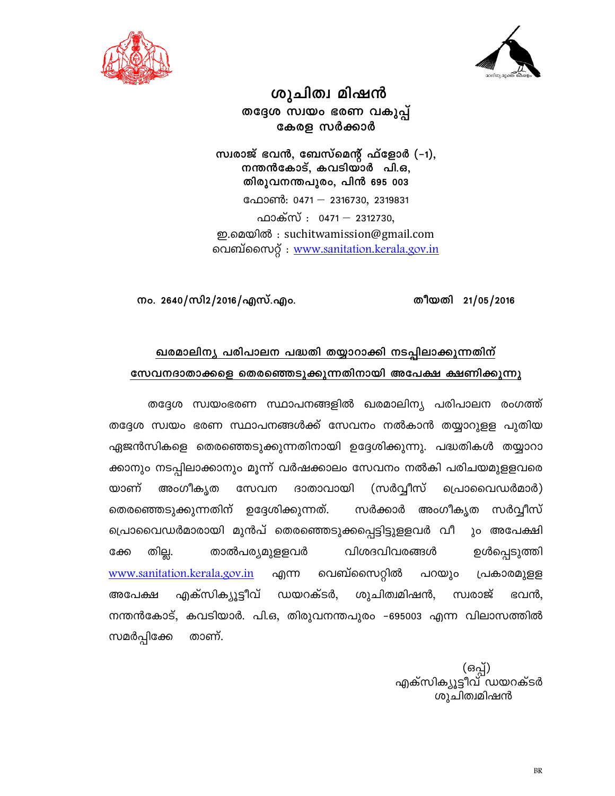



ശുചിത്വ മിഷൻ തദ്ദേശ സ്വയം ഭരണ വകുപ്പ് കേരള സർക്കാർ

സ്വരാജ് ഭവൻ, ബേസ്മെന്റ് ഫ്ളോർ (–1), നന്തൻകോട്, കവടിയാർ പി.ഒ, തിരുവനന്തപുരം, പിൻ 695 003 ഫോൺ: 0471 - 2316730, 2319831 ഫാക്സ് : 0471 - 2312730, ഇ.മെയിൽ : suchitwamission@gmail.com വെബ്സൈറ്റ് : www.sanitation.kerala.gov.in

തീയതി 21/05/2016

നം. 2640/സി2/2016/എസ്.എം.

### ഖരമാലിന്യ പരിപാലന പദ്ധതി തയ്യാറാക്കി നടപ്പിലാക്കുന്നതിന് സേവനദാതാക്കളെ തെരഞ്ഞെടുക്കുന്നതിനായി അപേക്ഷ ക്ഷണിക്കുന്നു

തദ്ദേശ സ്വയംഭരണ സ്ഥാപനങ്ങളിൽ ഖരമാലിന്യ പരിപാലന രംഗത്ത് തദ്ദേശ സ്വയം ഭരണ സ്ഥാപനങ്ങൾക്ക് സേവനം നൽകാൻ തയ്യാറുള്ള പുതിയ ഏജൻസികളെ തെരഞ്ഞെടുക്കുന്നതിനായി ഉദ്ദേശിക്കുന്നു. പദ്ധതികൾ തയ്യാറാ ക്കാനും നടപ്പിലാക്കാനും മൂന്ന് വർഷക്കാലം സേവനം നൽകി പരിചയമുളളവരെ യാണ് അംഗീക്യത ദാതാവായി (സർവ്വീസ് പ്രൊവൈഡർമാർ) സേവന സർക്കാർ അംഗീകൃത തെരഞ്ഞെടുക്കുന്നതിന് ഉദ്ദേശിക്കുന്നത്. സർവീസ് പ്രൊവൈഡർമാരായി മുൻപ് തെരഞ്ഞെടുക്കപ്പെട്ടിട്ടുളളവർ വീ ും അപേക്ഷി തില്ല. താൽപര്യമുളളവർ വിശദവിവരങ്ങൾ ഉൾപ്പെടുത്തി ക്കേ www.sanitation.kerala.gov.in എന്ന വെബ്സൈറ്റിൽ പറയും പ്രകാരമുളള എക്സിക്യൂട്ടീവ് ഭവൻ. അപേക്ഷ ഡയറക്ടർ, ശുചിത്വമിഷൻ, സ്വരാജ് നന്തൻകോട്, കവടിയാർ. പി.ഒ, തിരുവനന്തപുരം –695003 എന്ന വിലാസത്തിൽ സമർപ്പിക്കേ താണ്.

> (ഒപ്പ്) എക്സിക്യൂട്ടീവ് ഡയറക്ടർ ശുചിത്വമിഷൻ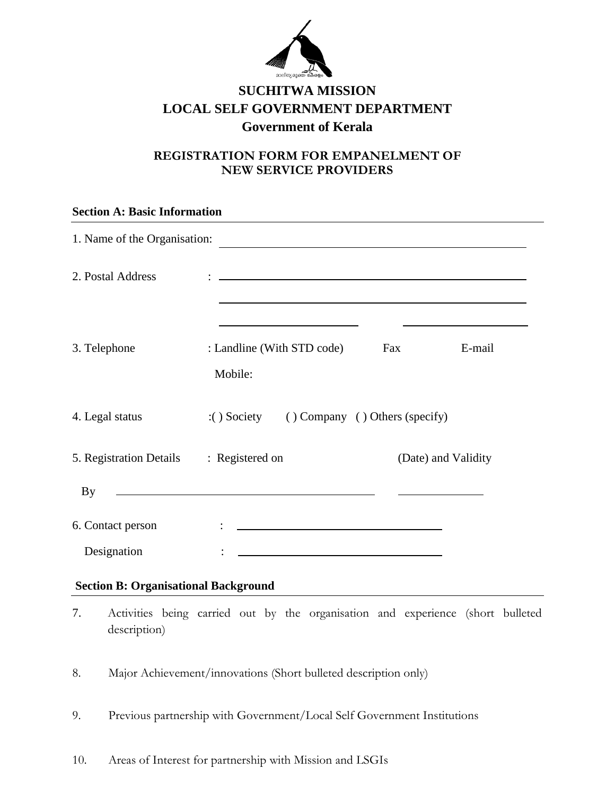

## **SUCHITWA MISSION LOCAL SELF GOVERNMENT DEPARTMENT Government of Kerala**

### **REGISTRATION FORM FOR EMPANELMENT OF NEW SERVICE PROVIDERS**

# **Section A: Basic Information** 1. Name of the Organisation: 2. Postal Address : 3. Telephone : Landline (With STD code) Fax E-mail Mobile: 4. Legal status :( ) Society ( ) Company ( ) Others (specify) 5. Registration Details : Registered on (Date) and Validity <u> 1980 - Johann Barbara, martin amerikan ba</u> By 6. Contact person : Designation : **Section B: Organisational Background**

- 7. Activities being carried out by the organisation and experience (short bulleted description)
- 8. Major Achievement/innovations (Short bulleted description only)
- 9. Previous partnership with Government/Local Self Government Institutions
- 10. Areas of Interest for partnership with Mission and LSGIs